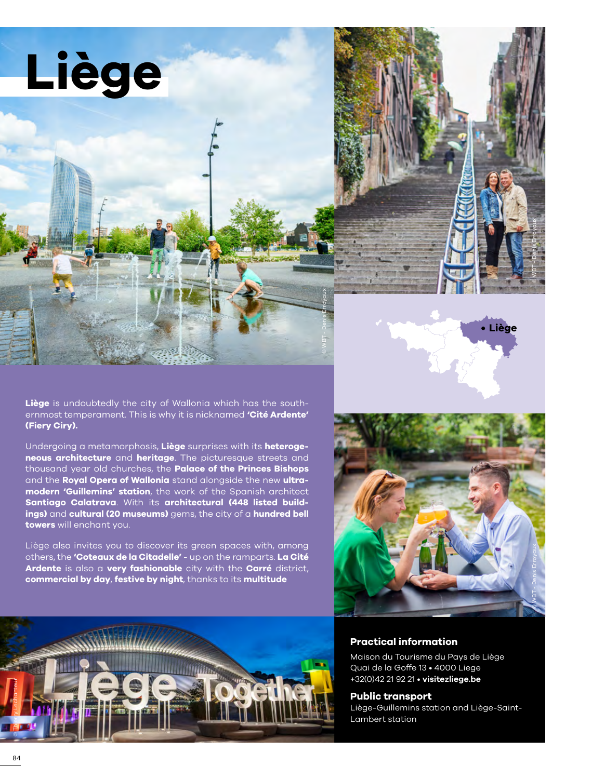**Liège**

**Liège** is undoubtedly the city of Wallonia which has the southernmost temperament. This is why it is nicknamed **'Cité Ardente' (Fiery Ciry).**

Undergoing a metamorphosis, **Liège** surprises with its **heterogeneous architecture** and **heritage**. The picturesque streets and thousand year old churches, the **Palace of the Princes Bishops** and the **Royal Opera of Wallonia** stand alongside the new **ultramodern 'Guillemins' station**, the work of the Spanish architect **Santiago Calatrava**. With its **architectural (448 listed buildings)** and **cultural (20 museums)** gems, the city of a **hundred bell towers** will enchant you.

Liège also invites you to discover its green spaces with, among others, the **'Coteaux de la Citadelle'** - up on the ramparts. **La Cité Ardente** is also a **very fashionable** city with the **Carré** district, **commercial by day**, **festive by night**, thanks to its **multitude**









## **Practical information**

Maison du Tourisme du Pays de Liège Quai de la Goffe 13 • 4000 Liege +32(0)42 21 92 21 • **[visitezliege.be](https://www.visitezliege.be/fr)**

### **Public transport**

Liège-Guillemins station and Liège-Saint-Lambert station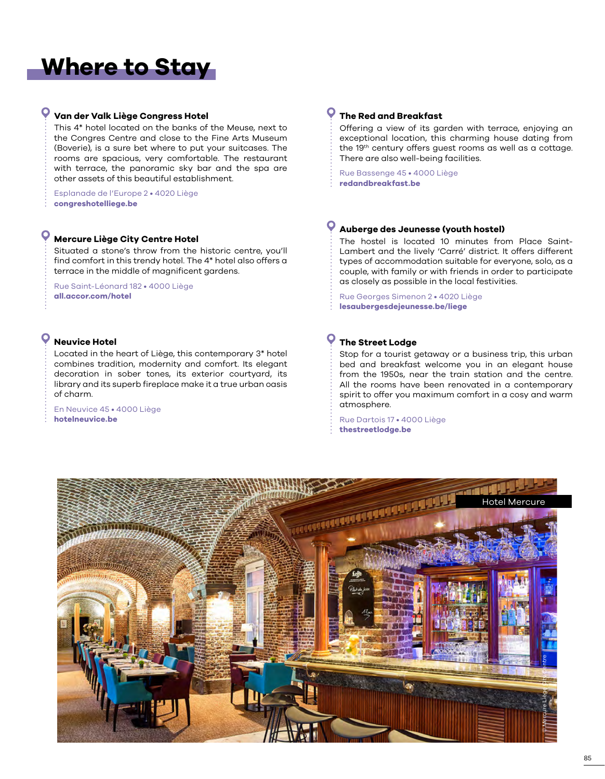# **Where to Stay**

## **Van der Valk Liège Congress Hotel**

This 4\* hotel located on the banks of the Meuse, next to the Congres Centre and close to the Fine Arts Museum (Boverie), is a sure bet where to put your suitcases. The rooms are spacious, very comfortable. The restaurant with terrace, the panoramic sky bar and the spa are other assets of this beautiful establishment.

Esplanade de l'Europe 2 • 4020 Liège **[congreshotelliege.be](www.congreshotelliege.be)**

## **Mercure Liège City Centre Hotel**

Situated a stone's throw from the historic centre, you'll find comfort in this trendy hotel. The 4\* hotel also offers a terrace in the middle of magnificent gardens.

Rue Saint-Léonard 182 • 4000 Liège **[all.accor.com/hotel](www.all.accor.com/hotel)**

## **Neuvice Hotel**

Located in the heart of Liège, this contemporary 3\* hotel combines tradition, modernity and comfort. Its elegant decoration in sober tones, its exterior courtyard, its library and its superb fireplace make it a true urban oasis of charm.

En Neuvice 45 • 4000 Liège **[hotelneuvice.be](http://www.hotelneuvice.be/fr)**

## **The Red and Breakfast**

Offering a view of its garden with terrace, enjoying an exceptional location, this charming house dating from the 19th century offers guest rooms as well as a cottage. There are also well-being facilities.

Rue Bassenge 45 • 4000 Liège **[redandbreakfast.be](https://redandbreakfast.be/)**

## **Auberge des Jeunesse (youth hostel)**

The hostel is located 10 minutes from Place Saint-Lambert and the lively 'Carré' district. It offers different types of accommodation suitable for everyone, solo, as a couple, with family or with friends in order to participate as closely as possible in the local festivities.

Rue Georges Simenon 2 • 4020 Liège **[lesaubergesdejeunesse.be/liege](www.lesaubergesdejeunesse.be/liege)**

## **The Street Lodge**

Stop for a tourist getaway or a business trip, this urban bed and breakfast welcome you in an elegant house from the 1950s, near the train station and the centre. All the rooms have been renovated in a contemporary spirit to offer you maximum comfort in a cosy and warm atmosphere.

Rue Dartois 17 • 4000 Liège **[thestreetlodge.be](www.thestreetlodge.be)**

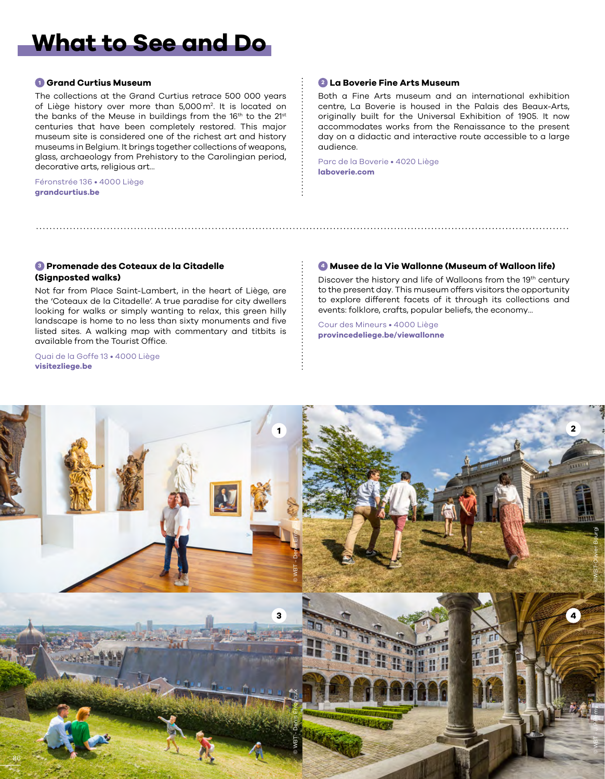## **What to See and Do**

### **<sup>1</sup> Grand Curtius Museum**

The collections at the Grand Curtius retrace 500 000 years of Liège history over more than 5,000m2 . It is located on the banks of the Meuse in buildings from the 16<sup>th</sup> to the 21<sup>st</sup> centuries that have been completely restored. This major museum site is considered one of the richest art and history museums in Belgium. It brings together collections of weapons, glass, archaeology from Prehistory to the Carolingian period, decorative arts, religious art...

Féronstrée 136 • 4000 Liège **[grandcurtius.be](https://www.grandcurtius.be/)**

### **<sup>2</sup> La Boverie Fine Arts Museum**

Both a Fine Arts museum and an international exhibition centre, La Boverie is housed in the Palais des Beaux-Arts, originally built for the Universal Exhibition of 1905. It now accommodates works from the Renaissance to the present day on a didactic and interactive route accessible to a large audience.

Parc de la Boverie • 4020 Liège **[laboverie.com](https://www.laboverie.com/)**

### **<sup>3</sup> Promenade des Coteaux de la Citadelle (Signposted walks)**

Not far from Place Saint-Lambert, in the heart of Liège, are the 'Coteaux de la Citadelle'. A true paradise for city dwellers looking for walks or simply wanting to relax, this green hilly landscape is home to no less than sixty monuments and five listed sites. A walking map with commentary and titbits is available from the Tourist Office.

Quai de la Goffe 13 • 4000 Liège **[visitezliege.be](https://www.visitezliege.be/fr/les-coteaux-de-la-citadelle-0)**

### **<sup>4</sup> Musee de la Vie Wallonne (Museum of Walloon life)**

Discover the history and life of Walloons from the 19<sup>th</sup> century to the present day. This museum offers visitors the opportunity to explore different facets of it through its collections and events: folklore, crafts, popular beliefs, the economy...

Cour des Mineurs • 4000 Liège **[provincedeliege.be/viewallonne](http://www.provincedeliege.be/viewallonne)**